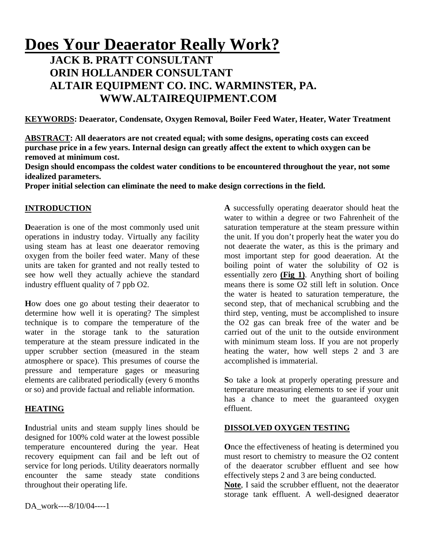# **Does Your Deaerator Really Work?**

# **JACK B. PRATT CONSULTANT ORIN HOLLANDER CONSULTANT ALTAIR EQUIPMENT CO. INC. WARMINSTER, PA. WWW.ALTAIREQUIPMENT.COM**

**KEYWORDS: Deaerator, Condensate, Oxygen Removal, Boiler Feed Water, Heater, Water Treatment** 

**ABSTRACT: All deaerators are not created equal; with some designs, operating costs can exceed purchase price in a few years. Internal design can greatly affect the extent to which oxygen can be removed at minimum cost.** 

**Design should encompass the coldest water conditions to be encountered throughout the year, not some idealized parameters.** 

**Proper initial selection can eliminate the need to make design corrections in the field.** 

## **INTRODUCTION**

**Deaeration** is one of the most commonly used unit operations in industry today. Virtually any facility using steam has at least one deaerator removing oxygen from the boiler feed water. Many of these units are taken for granted and not really tested to see how well they actually achieve the standard industry effluent quality of 7 ppb O2.

**H**ow does one go about testing their deaerator to determine how well it is operating? The simplest technique is to compare the temperature of the water in the storage tank to the saturation temperature at the steam pressure indicated in the upper scrubber section (measured in the steam atmosphere or space). This presumes of course the pressure and temperature gages or measuring elements are calibrated periodically (every 6 months or so) and provide factual and reliable information.

## **HEATING**

**I**ndustrial units and steam supply lines should be designed for 100% cold water at the lowest possible temperature encountered during the year. Heat recovery equipment can fail and be left out of service for long periods. Utility deaerators normally encounter the same steady state conditions throughout their operating life.

**A** successfully operating deaerator should heat the water to within a degree or two Fahrenheit of the saturation temperature at the steam pressure within the unit. If you don't properly heat the water you do not deaerate the water, as this is the primary and most important step for good deaeration. At the boiling point of water the solubility of O2 is essentially zero **(Fig 1)**. Anything short of boiling means there is some O2 still left in solution. Once the water is heated to saturation temperature, the second step, that of mechanical scrubbing and the third step, venting, must be accomplished to insure the O2 gas can break free of the water and be carried out of the unit to the outside environment with minimum steam loss. If you are not properly heating the water, how well steps 2 and 3 are accomplished is immaterial.

**S**o take a look at properly operating pressure and temperature measuring elements to see if your unit has a chance to meet the guaranteed oxygen effluent.

#### **DISSOLVED OXYGEN TESTING**

**O**nce the effectiveness of heating is determined you must resort to chemistry to measure the O2 content of the deaerator scrubber effluent and see how effectively steps 2 and 3 are being conducted.

**Note**, I said the scrubber effluent, not the deaerator storage tank effluent. A well-designed deaerator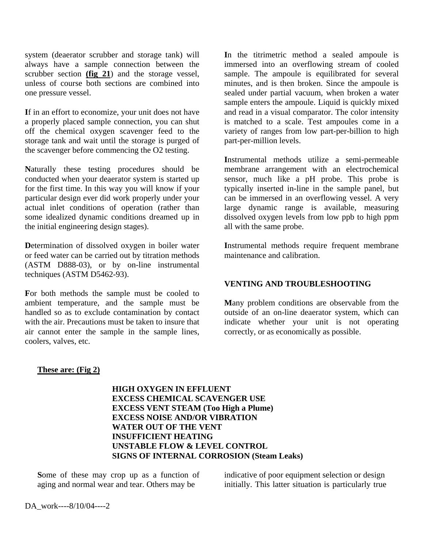system (deaerator scrubber and storage tank) will always have a sample connection between the scrubber section **(fig 21**) and the storage vessel, unless of course both sections are combined into one pressure vessel.

**I**f in an effort to economize, your unit does not have a properly placed sample connection, you can shut off the chemical oxygen scavenger feed to the storage tank and wait until the storage is purged of the scavenger before commencing the O2 testing.

**N**aturally these testing procedures should be conducted when your deaerator system is started up for the first time. In this way you will know if your particular design ever did work properly under your actual inlet conditions of operation (rather than some idealized dynamic conditions dreamed up in the initial engineering design stages).

**D**etermination of dissolved oxygen in boiler water or feed water can be carried out by titration methods (ASTM D888-03), or by on-line instrumental techniques (ASTM D5462-93).

**F**or both methods the sample must be cooled to ambient temperature, and the sample must be handled so as to exclude contamination by contact with the air. Precautions must be taken to insure that air cannot enter the sample in the sample lines, coolers, valves, etc.

**I**n the titrimetric method a sealed ampoule is immersed into an overflowing stream of cooled sample. The ampoule is equilibrated for several minutes, and is then broken. Since the ampoule is sealed under partial vacuum, when broken a water sample enters the ampoule. Liquid is quickly mixed and read in a visual comparator. The color intensity is matched to a scale. Test ampoules come in a variety of ranges from low part-per-billion to high part-per-million levels.

**I**nstrumental methods utilize a semi-permeable membrane arrangement with an electrochemical sensor, much like a pH probe. This probe is typically inserted in-line in the sample panel, but can be immersed in an overflowing vessel. A very large dynamic range is available, measuring dissolved oxygen levels from low ppb to high ppm all with the same probe.

**I**nstrumental methods require frequent membrane maintenance and calibration.

#### **VENTING AND TROUBLESHOOTING**

**M**any problem conditions are observable from the outside of an on-line deaerator system, which can indicate whether your unit is not operating correctly, or as economically as possible.

#### **These are: (Fig 2)**

**HIGH OXYGEN IN EFFLUENT EXCESS CHEMICAL SCAVENGER USE EXCESS VENT STEAM (Too High a Plume) EXCESS NOISE AND/OR VIBRATION WATER OUT OF THE VENT INSUFFICIENT HEATING UNSTABLE FLOW & LEVEL CONTROL SIGNS OF INTERNAL CORROSION (Steam Leaks)** 

**S**ome of these may crop up as a function of aging and normal wear and tear. Others may be

indicative of poor equipment selection or design initially. This latter situation is particularly true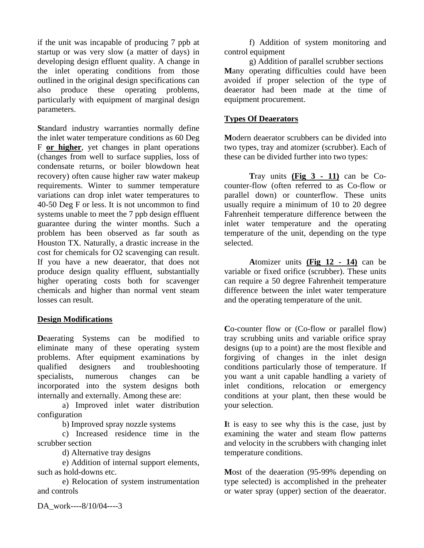if the unit was incapable of producing 7 ppb at startup or was very slow (a matter of days) in developing design effluent quality. A change in the inlet operating conditions from those outlined in the original design specifications can also produce these operating problems, particularly with equipment of marginal design parameters.

**S**tandard industry warranties normally define the inlet water temperature conditions as 60 Deg F **or higher**, yet changes in plant operations (changes from well to surface supplies, loss of condensate returns, or boiler blowdown heat recovery) often cause higher raw water makeup requirements. Winter to summer temperature variations can drop inlet water temperatures to 40-50 Deg F or less. It is not uncommon to find systems unable to meet the 7 ppb design effluent guarantee during the winter months. Such a problem has been observed as far south as Houston TX. Naturally, a drastic increase in the cost for chemicals for O2 scavenging can result. If you have a new deaerator, that does not produce design quality effluent, substantially higher operating costs both for scavenger chemicals and higher than normal vent steam losses can result.

#### **Design Modifications**

**D**eaerating Systems can be modified to eliminate many of these operating system problems. After equipment examinations by qualified designers and troubleshooting specialists, numerous changes can be incorporated into the system designs both internally and externally. Among these are:

a) Improved inlet water distribution configuration

b) Improved spray nozzle systems

c) Increased residence time in the scrubber section

d) Alternative tray designs

e) Addition of internal support elements, such as hold-downs etc.

e) Relocation of system instrumentation and controls

f) Addition of system monitoring and control equipment

g) Addition of parallel scrubber sections **M**any operating difficulties could have been avoided if proper selection of the type of deaerator had been made at the time of equipment procurement.

#### **Types Of Deaerators**

**M**odern deaerator scrubbers can be divided into two types, tray and atomizer (scrubber). Each of these can be divided further into two types:

**T**ray units **(Fig 3 - 11)** can be Cocounter-flow (often referred to as Co-flow or parallel down) or counterflow. These units usually require a minimum of 10 to 20 degree Fahrenheit temperature difference between the inlet water temperature and the operating temperature of the unit, depending on the type selected.

**A**tomizer units **(Fig 12 - 14)** can be variable or fixed orifice (scrubber). These units can require a 50 degree Fahrenheit temperature difference between the inlet water temperature and the operating temperature of the unit.

**C**o-counter flow or (Co-flow or parallel flow) tray scrubbing units and variable orifice spray designs (up to a point) are the most flexible and forgiving of changes in the inlet design conditions particularly those of temperature. If you want a unit capable handling a variety of inlet conditions, relocation or emergency conditions at your plant, then these would be your selection.

**I**t is easy to see why this is the case, just by examining the water and steam flow patterns and velocity in the scrubbers with changing inlet temperature conditions.

**M**ost of the deaeration (95-99% depending on type selected) is accomplished in the preheater or water spray (upper) section of the deaerator.

DA\_work----8/10/04----3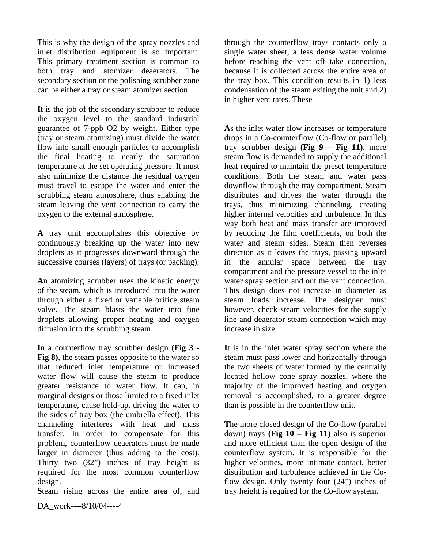This is why the design of the spray nozzles and inlet distribution equipment is so important. This primary treatment section is common to both tray and atomizer deaerators. The secondary section or the polishing scrubber zone can be either a tray or steam atomizer section.

**I**t is the job of the secondary scrubber to reduce the oxygen level to the standard industrial guarantee of 7-ppb O2 by weight. Either type (tray or steam atomizing) must divide the water flow into small enough particles to accomplish the final heating to nearly the saturation temperature at the set operating pressure. It must also minimize the distance the residual oxygen must travel to escape the water and enter the scrubbing steam atmosphere, thus enabling the steam leaving the vent connection to carry the oxygen to the external atmosphere.

**A** tray unit accomplishes this objective by continuously breaking up the water into new droplets as it progresses downward through the successive courses (layers) of trays (or packing).

**A**n atomizing scrubber uses the kinetic energy of the steam, which is introduced into the water through either a fixed or variable orifice steam valve. The steam blasts the water into fine droplets allowing proper heating and oxygen diffusion into the scrubbing steam.

**I**n a counterflow tray scrubber design **(Fig 3** - **Fig 8)**, the steam passes opposite to the water so that reduced inlet temperature or increased water flow will cause the steam to produce greater resistance to water flow. It can, in marginal designs or those limited to a fixed inlet temperature, cause hold-up, driving the water to the sides of tray box (the umbrella effect). This channeling interferes with heat and mass transfer. In order to compensate for this problem, counterflow deaerators must be made larger in diameter (thus adding to the cost). Thirty two (32") inches of tray height is required for the most common counterflow design.

**S**team rising across the entire area of, and

through the counterflow trays contacts only a single water sheet, a less dense water volume before reaching the vent off take connection, because it is collected across the entire area of the tray box. This condition results in 1) less condensation of the steam exiting the unit and 2) in higher vent rates. These

**A**s the inlet water flow increases or temperature drops in a Co-counterflow (Co-flow or parallel) tray scrubber design **(Fig 9 – Fig 11)**, more steam flow is demanded to supply the additional heat required to maintain the preset temperature conditions. Both the steam and water pass downflow through the tray compartment. Steam distributes and drives the water through the trays, thus minimizing channeling, creating higher internal velocities and turbulence. In this way both heat and mass transfer are improved by reducing the film coefficients, on both the water and steam sides. Steam then reverses direction as it leaves the trays, passing upward in the annular space between the tray compartment and the pressure vessel to the inlet water spray section and out the vent connection. This design does not increase in diameter as steam loads increase. The designer must however, check steam velocities for the supply line and deaerator steam connection which may increase in size.

**I**t is in the inlet water spray section where the steam must pass lower and horizontally through the two sheets of water formed by the centrally located hollow cone spray nozzles, where the majority of the improved heating and oxygen removal is accomplished, to a greater degree than is possible in the counterflow unit.

**T**he more closed design of the Co-flow (parallel down) trays **(Fig 10 – Fig 11)** also is superior and more efficient than the open design of the counterflow system. It is responsible for the higher velocities, more intimate contact, better distribution and turbulence achieved in the Coflow design. Only twenty four (24") inches of tray height is required for the Co-flow system.

DA\_work----8/10/04----4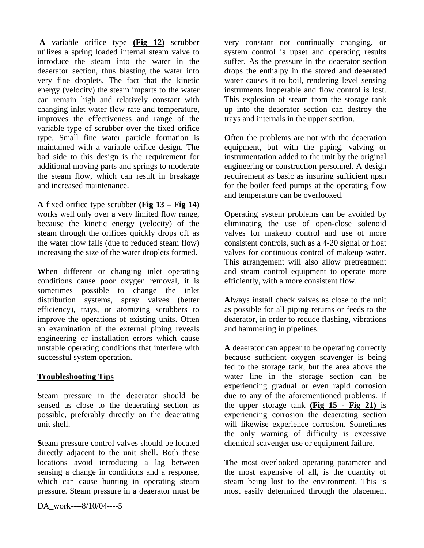**A** variable orifice type **(Fig 12)** scrubber utilizes a spring loaded internal steam valve to introduce the steam into the water in the deaerator section, thus blasting the water into very fine droplets. The fact that the kinetic energy (velocity) the steam imparts to the water can remain high and relatively constant with changing inlet water flow rate and temperature, improves the effectiveness and range of the variable type of scrubber over the fixed orifice type. Small fine water particle formation is maintained with a variable orifice design. The bad side to this design is the requirement for additional moving parts and springs to moderate the steam flow, which can result in breakage and increased maintenance.

**A** fixed orifice type scrubber **(Fig 13 – Fig 14)** works well only over a very limited flow range, because the kinetic energy (velocity) of the steam through the orifices quickly drops off as the water flow falls (due to reduced steam flow) increasing the size of the water droplets formed.

**W**hen different or changing inlet operating conditions cause poor oxygen removal, it is sometimes possible to change the inlet distribution systems, spray valves (better efficiency), trays, or atomizing scrubbers to improve the operations of existing units. Often an examination of the external piping reveals engineering or installation errors which cause unstable operating conditions that interfere with successful system operation.

#### **Troubleshooting Tips**

**S**team pressure in the deaerator should be sensed as close to the deaerating section as possible, preferably directly on the deaerating unit shell.

**S**team pressure control valves should be located directly adjacent to the unit shell. Both these locations avoid introducing a lag between sensing a change in conditions and a response, which can cause hunting in operating steam pressure. Steam pressure in a deaerator must be

very constant not continually changing, or system control is upset and operating results suffer. As the pressure in the deaerator section drops the enthalpy in the stored and deaerated water causes it to boil, rendering level sensing instruments inoperable and flow control is lost. This explosion of steam from the storage tank up into the deaerator section can destroy the trays and internals in the upper section.

**O**ften the problems are not with the deaeration equipment, but with the piping, valving or instrumentation added to the unit by the original engineering or construction personnel. A design requirement as basic as insuring sufficient npsh for the boiler feed pumps at the operating flow and temperature can be overlooked.

**O**perating system problems can be avoided by eliminating the use of open-close solenoid valves for makeup control and use of more consistent controls, such as a 4-20 signal or float valves for continuous control of makeup water. This arrangement will also allow pretreatment and steam control equipment to operate more efficiently, with a more consistent flow.

**A**lways install check valves as close to the unit as possible for all piping returns or feeds to the deaerator, in order to reduce flashing, vibrations and hammering in pipelines.

**A** deaerator can appear to be operating correctly because sufficient oxygen scavenger is being fed to the storage tank, but the area above the water line in the storage section can be experiencing gradual or even rapid corrosion due to any of the aforementioned problems. If the upper storage tank **(Fig 15 - Fig 21)** is experiencing corrosion the deaerating section will likewise experience corrosion. Sometimes the only warning of difficulty is excessive chemical scavenger use or equipment failure.

**T**he most overlooked operating parameter and the most expensive of all, is the quantity of steam being lost to the environment. This is most easily determined through the placement

DA\_work----8/10/04----5